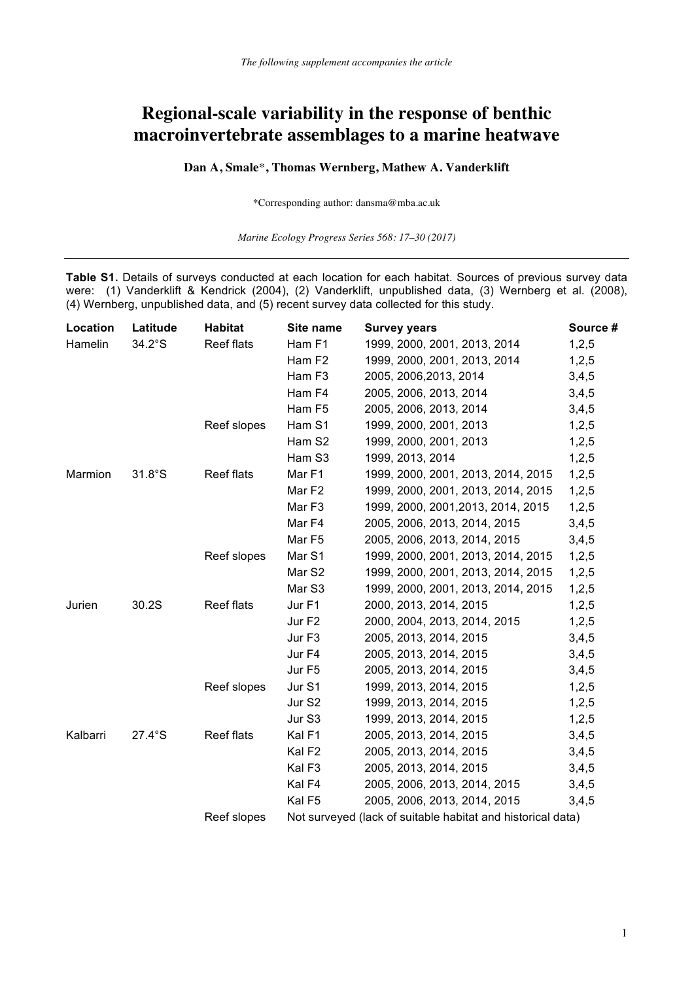# **Regional-scale variability in the response of benthic macroinvertebrate assemblages to a marine heatwave**

**Dan A, Smale**\***, Thomas Wernberg, Mathew A. Vanderklift**

\*Corresponding author: dansma@mba.ac.uk

*Marine Ecology Progress Series 568: 17–30 (2017)*

**Table S1.** Details of surveys conducted at each location for each habitat. Sources of previous survey data were: (1) Vanderklift & Kendrick (2004), (2) Vanderklift, unpublished data, (3) Wernberg et al. (2008), (4) Wernberg, unpublished data, and (5) recent survey data collected for this study.

| Location | Latitude       | <b>Habitat</b> | Site name          | <b>Survey years</b>                                         | Source # |
|----------|----------------|----------------|--------------------|-------------------------------------------------------------|----------|
| Hamelin  | $34.2^\circ$ S | Reef flats     | Ham F1             | 1999, 2000, 2001, 2013, 2014                                | 1,2,5    |
|          |                |                | Ham F <sub>2</sub> | 1999, 2000, 2001, 2013, 2014                                | 1,2,5    |
|          |                |                | Ham F3             | 2005, 2006, 2013, 2014                                      | 3,4,5    |
|          |                |                | Ham F4             | 2005, 2006, 2013, 2014                                      | 3,4,5    |
|          |                |                | Ham F5             | 2005, 2006, 2013, 2014                                      | 3,4,5    |
|          |                | Reef slopes    | Ham S1             | 1999, 2000, 2001, 2013                                      | 1,2,5    |
|          |                |                | Ham S2             | 1999, 2000, 2001, 2013                                      | 1, 2, 5  |
|          |                |                | Ham S3             | 1999, 2013, 2014                                            | 1,2,5    |
| Marmion  | $31.8^\circ$ S | Reef flats     | Mar <sub>F1</sub>  | 1999, 2000, 2001, 2013, 2014, 2015                          | 1,2,5    |
|          |                |                | Mar <sub>F2</sub>  | 1999, 2000, 2001, 2013, 2014, 2015                          | 1, 2, 5  |
|          |                |                | Mar <sub>F3</sub>  | 1999, 2000, 2001, 2013, 2014, 2015                          | 1, 2, 5  |
|          |                |                | Mar F4             | 2005, 2006, 2013, 2014, 2015                                | 3,4,5    |
|          |                |                | Mar <sub>F5</sub>  | 2005, 2006, 2013, 2014, 2015                                | 3,4,5    |
|          |                | Reef slopes    | Mar <sub>S1</sub>  | 1999, 2000, 2001, 2013, 2014, 2015                          | 1,2,5    |
|          |                |                | Mar <sub>S2</sub>  | 1999, 2000, 2001, 2013, 2014, 2015                          | 1,2,5    |
|          |                |                | Mar <sub>S3</sub>  | 1999, 2000, 2001, 2013, 2014, 2015                          | 1,2,5    |
| Jurien   | 30.2S          | Reef flats     | Jur F1             | 2000, 2013, 2014, 2015                                      | 1,2,5    |
|          |                |                | Jur <sub>F2</sub>  | 2000, 2004, 2013, 2014, 2015                                | 1,2,5    |
|          |                |                | Jur <sub>F3</sub>  | 2005, 2013, 2014, 2015                                      | 3,4,5    |
|          |                |                | Jur F4             | 2005, 2013, 2014, 2015                                      | 3,4,5    |
|          |                |                | Jur F5             | 2005, 2013, 2014, 2015                                      | 3,4,5    |
|          |                | Reef slopes    | Jur <sub>S1</sub>  | 1999, 2013, 2014, 2015                                      | 1,2,5    |
|          |                |                | Jur <sub>S2</sub>  | 1999, 2013, 2014, 2015                                      | 1,2,5    |
|          |                |                | Jur <sub>S3</sub>  | 1999, 2013, 2014, 2015                                      | 1, 2, 5  |
| Kalbarri | $27.4^\circ$ S | Reef flats     | Kal F1             | 2005, 2013, 2014, 2015                                      | 3,4,5    |
|          |                |                | Kal F <sub>2</sub> | 2005, 2013, 2014, 2015                                      | 3,4,5    |
|          |                |                | Kal F <sub>3</sub> | 2005, 2013, 2014, 2015                                      | 3,4,5    |
|          |                |                | Kal F4             | 2005, 2006, 2013, 2014, 2015                                | 3,4,5    |
|          |                |                | Kal F5             | 2005, 2006, 2013, 2014, 2015                                | 3,4,5    |
|          |                | Reef slopes    |                    | Not surveyed (lack of suitable habitat and historical data) |          |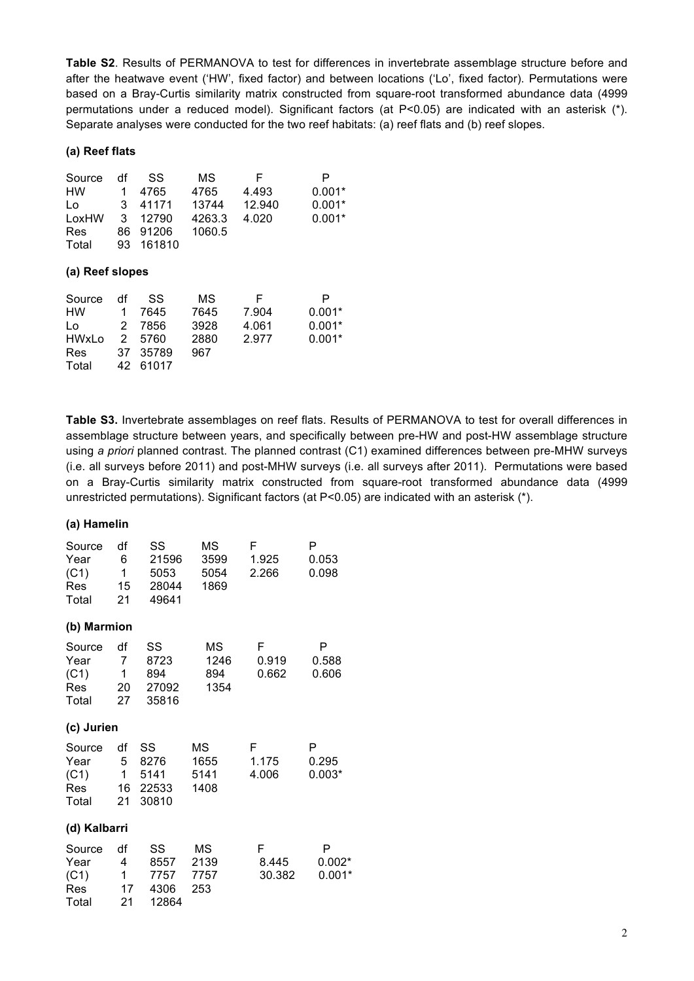**Table S2**. Results of PERMANOVA to test for differences in invertebrate assemblage structure before and after the heatwave event ('HW', fixed factor) and between locations ('Lo', fixed factor). Permutations were based on a Bray-Curtis similarity matrix constructed from square-root transformed abundance data (4999 permutations under a reduced model). Significant factors (at P<0.05) are indicated with an asterisk (\*). Separate analyses were conducted for the two reef habitats: (a) reef flats and (b) reef slopes.

## **(a) Reef flats**

| Source     | df  | SS.      | МS     | E      | P        |
|------------|-----|----------|--------|--------|----------|
| <b>HW</b>  | 1   | 4765     | 4765   | 4.493  | $0.001*$ |
| Lo.        |     | 3 41171  | 13744  | 12.940 | $0.001*$ |
| LoxHW      |     | 3 12790  | 4263.3 | 4.020  | $0.001*$ |
| <b>Res</b> |     | 86 91206 | 1060.5 |        |          |
| Total      | 93. | 161810   |        |        |          |

#### **(a) Reef slopes**

| Source       | df | SS.      | МS   | F     | P        |
|--------------|----|----------|------|-------|----------|
| <b>HW</b>    |    | 7645     | 7645 | 7.904 | $0.001*$ |
| Lo           | 2. | 7856     | 3928 | 4.061 | $0.001*$ |
| <b>HWxLo</b> |    | 2 5760   | 2880 | 2.977 | $0.001*$ |
| <b>Res</b>   |    | 37 35789 | 967  |       |          |
| Total        |    | 42 61017 |      |       |          |

**Table S3.** Invertebrate assemblages on reef flats. Results of PERMANOVA to test for overall differences in assemblage structure between years, and specifically between pre-HW and post-HW assemblage structure using *a priori* planned contrast. The planned contrast (C1) examined differences between pre-MHW surveys (i.e. all surveys before 2011) and post-MHW surveys (i.e. all surveys after 2011). Permutations were based on a Bray-Curtis similarity matrix constructed from square-root transformed abundance data (4999 unrestricted permutations). Significant factors (at P<0.05) are indicated with an asterisk (\*).

#### **(a) Hamelin**

| Source<br>Year<br>(C1)<br><b>Res</b><br>Total | df<br>6<br>$\mathbf{1}$<br>15<br>21              | SS<br>21596<br>5053<br>28044<br>49641 | MSI<br>3599<br>5054<br>1869 | F<br>1.925<br>2.266  | P<br>0.053<br>0.098       |
|-----------------------------------------------|--------------------------------------------------|---------------------------------------|-----------------------------|----------------------|---------------------------|
| (b) Marmion                                   |                                                  |                                       |                             |                      |                           |
| Source<br>Year<br>(C1)<br>Res<br>Total        | df<br>$\overline{7}$<br>$\mathbf{1}$<br>20<br>27 | SS<br>8723<br>894<br>27092<br>35816   | MS<br>1246<br>894<br>1354   | F<br>0.919<br>0.662  | P<br>0.588<br>0.606       |
| (c) Jurien                                    |                                                  |                                       |                             |                      |                           |
| Source df SS<br>Year<br>(C1)<br>Res<br>Total  | 16<br>21                                         | 5 8276<br>1 5141<br>22533<br>30810    | MS<br>1655<br>5141<br>1408  | F<br>1.175<br>4.006  | P<br>0.295<br>$0.003*$    |
| (d) Kalbarri                                  |                                                  |                                       |                             |                      |                           |
| Source<br>Year<br>(C1)<br>Res<br>Total        | df<br>4<br>$\mathbf{1}$<br>17 <sup>1</sup><br>21 | SS<br>8557<br>7757<br>4306<br>12864   | MS<br>2139<br>7757<br>253   | F<br>8.445<br>30.382 | P<br>$0.002*$<br>$0.001*$ |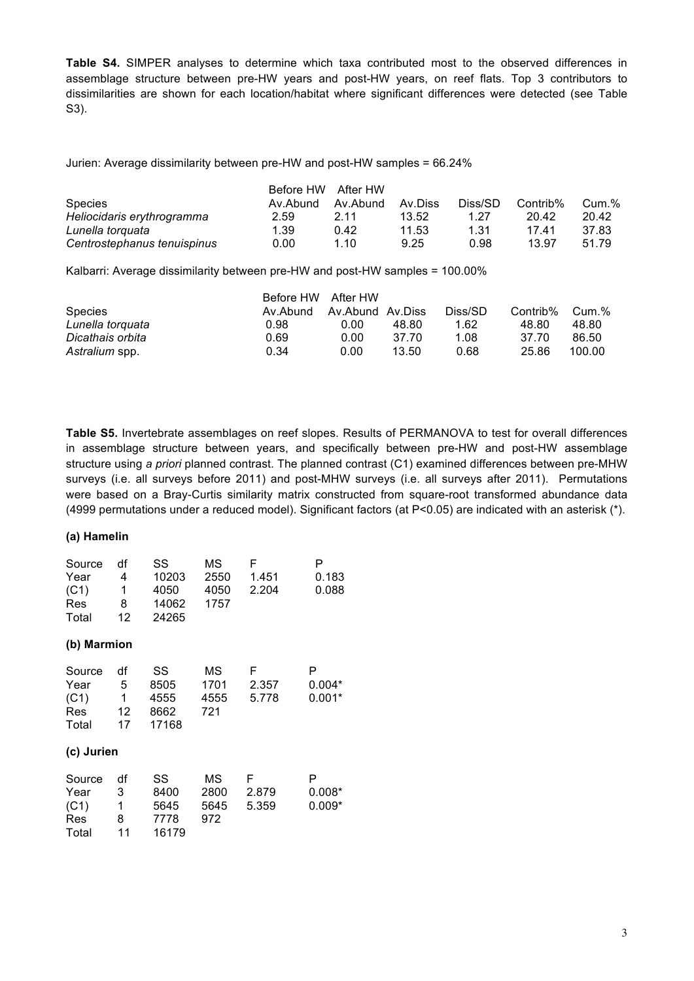**Table S4.** SIMPER analyses to determine which taxa contributed most to the observed differences in assemblage structure between pre-HW years and post-HW years, on reef flats. Top 3 contributors to dissimilarities are shown for each location/habitat where significant differences were detected (see Table S3).

Jurien: Average dissimilarity between pre-HW and post-HW samples = 66.24%

|                             | Before HW | After HW |         |         |          |       |
|-----------------------------|-----------|----------|---------|---------|----------|-------|
| <b>Species</b>              | Av.Abund  | Av.Abund | Av.Diss | Diss/SD | Contrib% | Cum.% |
| Heliocidaris erythrogramma  | 2.59      | 2 1 1    | 13.52   | 1.27    | 20.42    | 20.42 |
| Lunella torquata            | 1.39      | 0.42     | 11.53   | 1.31    | 1741     | 37.83 |
| Centrostephanus tenuispinus | 0.00      | 1.10     | 9.25    | 0.98    | 13.97    | 51.79 |

Kalbarri: Average dissimilarity between pre-HW and post-HW samples = 100.00%

|                  | Before HW | After HW         |       |         |          |          |
|------------------|-----------|------------------|-------|---------|----------|----------|
| <b>Species</b>   | Av.Abund  | Av.Abund Av.Diss |       | Diss/SD | Contrib% | $Cum.$ % |
| Lunella torquata | 0.98      | 0.00             | 48.80 | 1.62    | 48.80    | 48.80    |
| Dicathais orbita | 0.69      | 0.00             | 37.70 | 1.08    | 37.70    | 86.50    |
| Astralium spp.   | 0.34      | 0.00             | 13.50 | 0.68    | 25.86    | 100.00   |

**Table S5.** Invertebrate assemblages on reef slopes. Results of PERMANOVA to test for overall differences in assemblage structure between years, and specifically between pre-HW and post-HW assemblage structure using *a priori* planned contrast. The planned contrast (C1) examined differences between pre-MHW surveys (i.e. all surveys before 2011) and post-MHW surveys (i.e. all surveys after 2011). Permutations were based on a Bray-Curtis similarity matrix constructed from square-root transformed abundance data (4999 permutations under a reduced model). Significant factors (at P<0.05) are indicated with an asterisk (\*).

## **(a) Hamelin**

| Source<br>Year<br>(C1)<br>Res<br>Total | df<br>4<br>1<br>8<br>12  | SS<br>10203<br>4050<br>14062<br>24265 | ΜS<br>2550<br>4050<br>1757 | F<br>1.451<br>2.204 | P<br>0.183<br>0.088       |
|----------------------------------------|--------------------------|---------------------------------------|----------------------------|---------------------|---------------------------|
| (b) Marmion                            |                          |                                       |                            |                     |                           |
| Source<br>Year<br>(C1)<br>Res<br>Total | df<br>5<br>1<br>12<br>17 | SS<br>8505<br>4555<br>8662<br>17168   | МS<br>1701<br>4555<br>721  | F<br>2.357<br>5.778 | P<br>$0.004*$<br>$0.001*$ |
| (c) Jurien                             |                          |                                       |                            |                     |                           |
| Source<br>Year<br>(C1)<br>Res<br>Total | df<br>3<br>1<br>8<br>11  | SS<br>8400<br>5645<br>7778<br>16179   | ΜS<br>2800<br>5645<br>972  | F<br>2.879<br>5.359 | P<br>$0.008*$<br>$0.009*$ |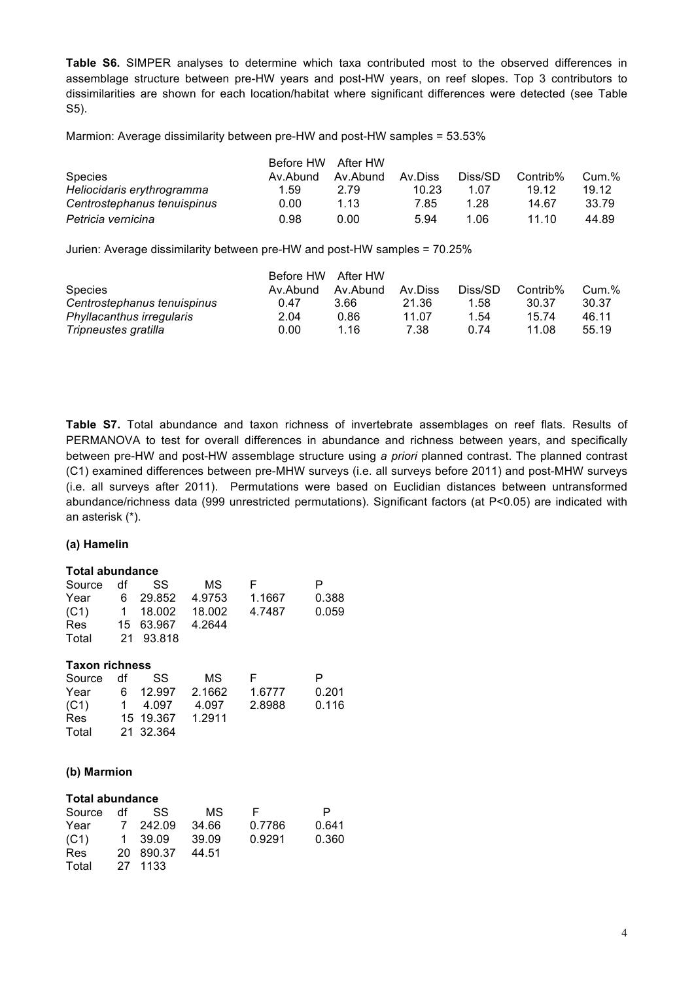**Table S6.** SIMPER analyses to determine which taxa contributed most to the observed differences in assemblage structure between pre-HW years and post-HW years, on reef slopes. Top 3 contributors to dissimilarities are shown for each location/habitat where significant differences were detected (see Table S5).

Marmion: Average dissimilarity between pre-HW and post-HW samples = 53.53%

|                             | Before HW | After HW |         |         |          |       |
|-----------------------------|-----------|----------|---------|---------|----------|-------|
| <b>Species</b>              | Av.Abund  | Av.Abund | Av.Diss | Diss/SD | Contrib% | Cum.% |
| Heliocidaris erythrogramma  | 1.59      | 2.79     | 10.23   | 1.07    | 19.12    | 19.12 |
| Centrostephanus tenuispinus | 0.00      | 1.13     | 7.85    | 1.28    | 14.67    | 33.79 |
| Petricia vernicina          | 0.98      | 0.00     | 5.94    | 1.06    | 11 10    | 44.89 |

Jurien: Average dissimilarity between pre-HW and post-HW samples = 70.25%

|                             | Before HW | After HW |         |         |          |          |
|-----------------------------|-----------|----------|---------|---------|----------|----------|
| <b>Species</b>              | Av.Abund  | Av.Abund | Av.Diss | Diss/SD | Contrib% | $Cum.$ % |
| Centrostephanus tenuispinus | 0.47      | 3.66     | 21.36   | 1.58    | 30.37    | 30.37    |
| Phyllacanthus irregularis   | 2.04      | 0.86     | 11.07   | 1.54    | 15.74    | 46.11    |
| Tripneustes gratilla        | 0.00      | 1.16     | 7.38    | 0.74    | 11.08    | 55.19    |

**Table S7.** Total abundance and taxon richness of invertebrate assemblages on reef flats. Results of PERMANOVA to test for overall differences in abundance and richness between years, and specifically between pre-HW and post-HW assemblage structure using *a priori* planned contrast. The planned contrast (C1) examined differences between pre-MHW surveys (i.e. all surveys before 2011) and post-MHW surveys (i.e. all surveys after 2011). Permutations were based on Euclidian distances between untransformed abundance/richness data (999 unrestricted permutations). Significant factors (at P<0.05) are indicated with an asterisk (\*).

## **(a) Hamelin**

## **Total abundance**

| Source df SS |                  | MS. | E.     | P     |
|--------------|------------------|-----|--------|-------|
| Year         | 6 29.852 4.9753  |     | 1.1667 | 0.388 |
| (C1)         | 1 18.002 18.002  |     | 4.7487 | 0.059 |
| Res          | 15 63.967 4.2644 |     |        |       |
| Total        | 21 93.818        |     |        |       |

## **Taxon richness**

| Source df SS |                  | MS.             |        | P     |  |
|--------------|------------------|-----------------|--------|-------|--|
| Year         |                  | 6 12.997 2.1662 | 1.6777 | 0.201 |  |
| (C1)         | 1 4.097          | 4.097           | 2.8988 | 0.116 |  |
| Res          | 15 19.367 1.2911 |                 |        |       |  |
| Total        | 21 32.364        |                 |        |       |  |

## **(b) Marmion**

#### **Total abundance** Source df SS MS F P<br>
Year 7 242.09 34.66 0.7786 0.641 Year 7 242.09 34.66 0.7786 (C1) 1 39.09 39.09 0.9291 0.360 Res 20 890.37 44.51 Total 27 1133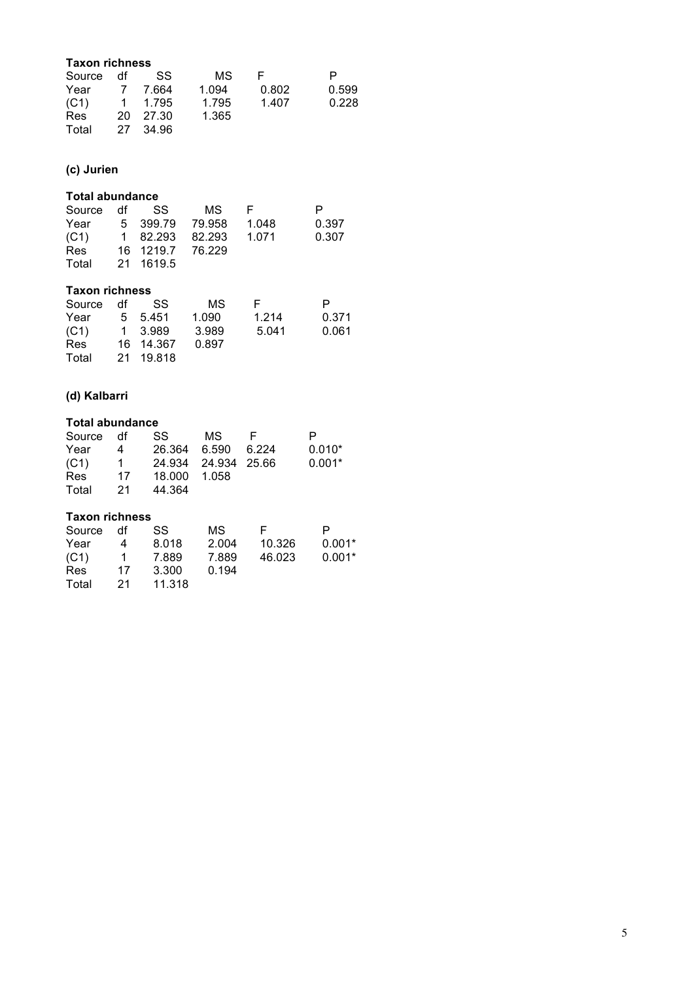| <b>Taxon richness</b> |    |        |       |       |       |  |  |  |
|-----------------------|----|--------|-------|-------|-------|--|--|--|
| Source                | df | SS     | МS    | F.    |       |  |  |  |
| Year                  |    | 7.664  | 1.094 | 0.802 | 0.599 |  |  |  |
| (C1)                  |    | 1.795  | 1.795 | 1.407 | 0.228 |  |  |  |
| Res                   | 20 | 27.30  | 1.365 |       |       |  |  |  |
| Total                 | 27 | -34.96 |       |       |       |  |  |  |

## **(c) Jurien**

## **Total abundance**

|       | Source df SS MS  |                              | - F - | P     |
|-------|------------------|------------------------------|-------|-------|
|       |                  | Year 5 399.79 79.958 1.048   |       | 0.397 |
|       |                  | $(C1)$ 1 82.293 82.293 1.071 |       | 0.307 |
| Res   | 16 1219.7 76.229 |                              |       |       |
| Total | 21 1619.5        |                              |       |       |

## **Taxon richness**

| Source df  | SS.       | МS      | E     | P     |  |
|------------|-----------|---------|-------|-------|--|
| Year       | 5 5.451   | 1.090   | 1.214 | 0.371 |  |
| (C1)       | 1 3.989   | - 3.989 | 5.041 | 0.061 |  |
| <b>Res</b> | 16 14.367 | 0.897   |       |       |  |
| Total      | 21 19.818 |         |       |       |  |

## **(d) Kalbarri**

## **Total abundance**

| Source df |          | SS.                 | - MS               | P        |
|-----------|----------|---------------------|--------------------|----------|
| Year      | $\sim$ 4 |                     | 26.364 6.590 6.224 | $0.010*$ |
| (C1)      | $\sim$ 1 | 24.934 24.934 25.66 |                    | $0.001*$ |
| Res       | - 17     | 18.000 1.058        |                    |          |
| Total     | - 21     | 44.364              |                    |          |

## **Taxon richness**

| Source df  |                  | SS.    | MS.   | н.     |          |  |
|------------|------------------|--------|-------|--------|----------|--|
| Year       | 4                | 8.018  | 2.004 | 10.326 | $0.001*$ |  |
| (C1)       | $\blacksquare$ 1 | 7.889  | 7.889 | 46.023 | $0.001*$ |  |
| <b>Res</b> | 17               | 3.300  | 0.194 |        |          |  |
| Total      | -21              | 11.318 |       |        |          |  |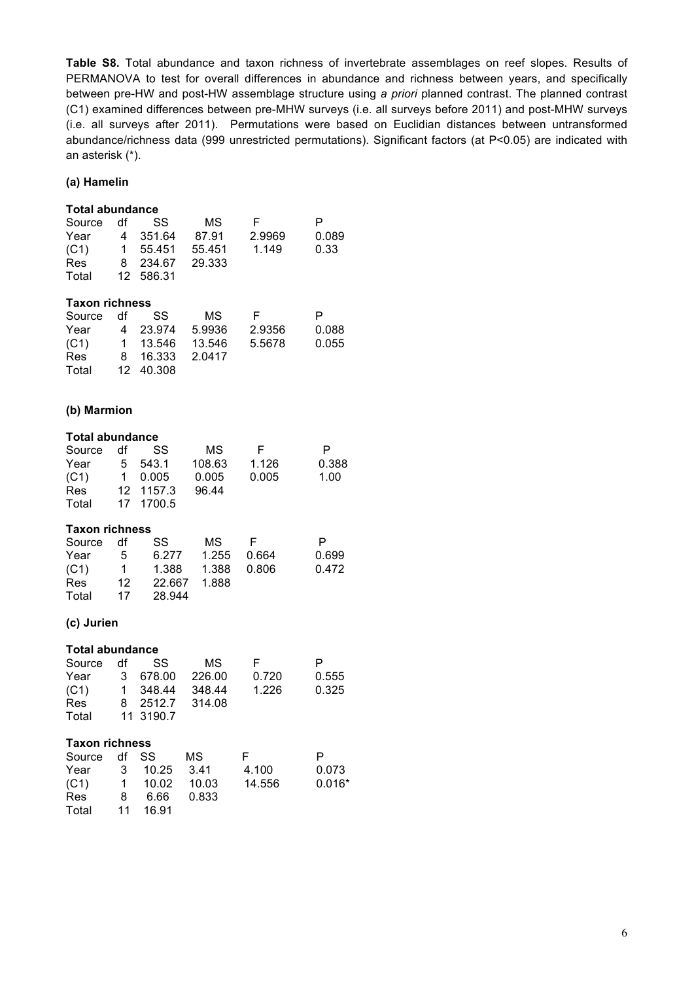**Table S8.** Total abundance and taxon richness of invertebrate assemblages on reef slopes. Results of PERMANOVA to test for overall differences in abundance and richness between years, and specifically between pre-HW and post-HW assemblage structure using *a priori* planned contrast. The planned contrast (C1) examined differences between pre-MHW surveys (i.e. all surveys before 2011) and post-MHW surveys (i.e. all surveys after 2011). Permutations were based on Euclidian distances between untransformed abundance/richness data (999 unrestricted permutations). Significant factors (at P<0.05) are indicated with an asterisk (\*).

### **(a) Hamelin**

### **Total abundance**

| Source df | -SS             | MS. | - E -  | Ρ     |
|-----------|-----------------|-----|--------|-------|
| Year      | 4 351.64 87.91  |     | 2.9969 | 0.089 |
| (C1)      | 1 55.451 55.451 |     | 1.149  | 0.33  |
| Res       | 8 234.67 29.333 |     |        |       |
| Total     | 12 586.31       |     |        |       |
|           |                 |     |        |       |

## **Taxon richness**

| Source df SS |                 | MS |        | P     |  |
|--------------|-----------------|----|--------|-------|--|
| Year         | 4 23.974 5.9936 |    | 2.9356 | 0.088 |  |
| (C1)         | 1 13.546 13.546 |    | 5.5678 | 0.055 |  |
| <b>Res</b>   | 8 16.333 2.0417 |    |        |       |  |
| Total        | 12 40.308       |    |        |       |  |

#### **(b) Marmion**

### **Total abundance**

| Source df  | -SS            | MS.   | E     | P     |
|------------|----------------|-------|-------|-------|
| Year       | 5 543.1 108.63 |       | 1.126 | 0.388 |
| (C1)       | 1 0.005        | 0.005 | 0.005 | 1.00  |
| <b>Res</b> | 12 1157.3      | 96.44 |       |       |
| Total      | 17 1700.5      |       |       |       |

#### **Taxon richness**

| Source df |      | SS.                        | MS. | $\overline{a}$ | P     |
|-----------|------|----------------------------|-----|----------------|-------|
| Year      | $-5$ | 6.277 1.255 0.664          |     |                | 0.699 |
|           |      | $(C1)$ 1 1.388 1.388 0.806 |     |                | 0.472 |
| Res       | 12   | 22.667 1.888               |     |                |       |
| Total     | 17   | 28.944                     |     |                |       |

#### **(c) Jurien**

## **Total abundance**

| Source df SS |                 | - MS |       | P     |  |
|--------------|-----------------|------|-------|-------|--|
| Year         | 3 678.00 226.00 |      | 0.720 | 0.555 |  |
| (C1)         | 1 348.44 348.44 |      | 1.226 | 0.325 |  |
| <b>Res</b>   | 8 2512.7 314.08 |      |       |       |  |
| Total        | 11 3190.7       |      |       |       |  |

#### **Taxon richness**

| Source df SS |    |         | MS.    | F.     | P        |
|--------------|----|---------|--------|--------|----------|
| Year         |    | 3 10.25 | - 3.41 | 4.100  | 0.073    |
| (C1)         |    | 1 10.02 | 10.03  | 14.556 | $0.016*$ |
| <b>Res</b>   | 8  | 6.66    | 0.833  |        |          |
| Total        | 11 | 16.91   |        |        |          |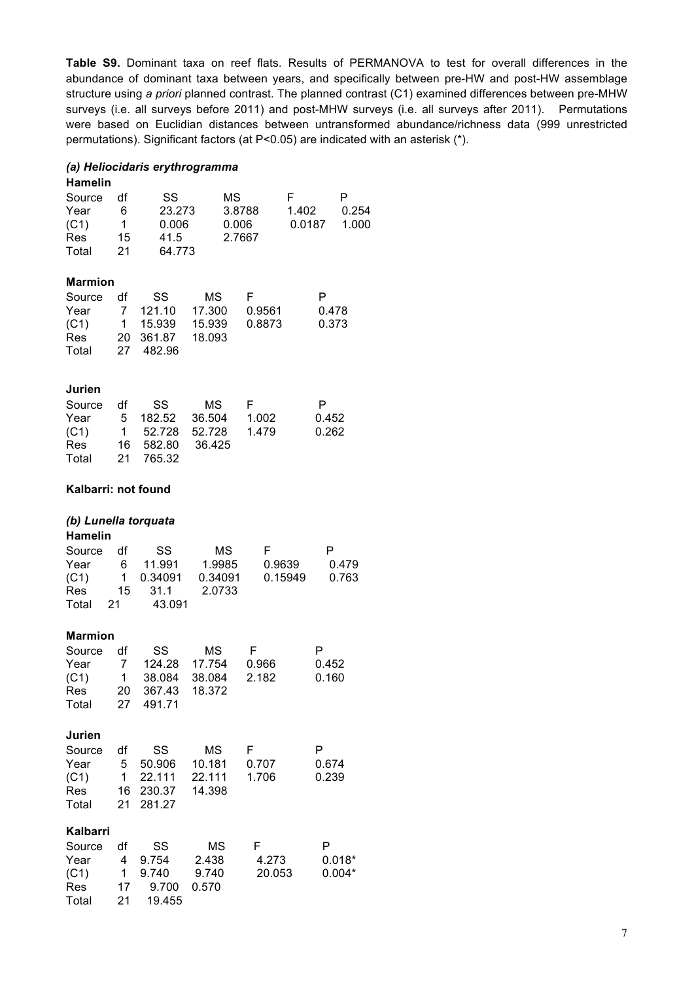**Table S9.** Dominant taxa on reef flats. Results of PERMANOVA to test for overall differences in the abundance of dominant taxa between years, and specifically between pre-HW and post-HW assemblage structure using *a priori* planned contrast. The planned contrast (C1) examined differences between pre-MHW surveys (i.e. all surveys before 2011) and post-MHW surveys (i.e. all surveys after 2011). Permutations were based on Euclidian distances between untransformed abundance/richness data (999 unrestricted permutations). Significant factors (at P<0.05) are indicated with an asterisk (\*).

## *(a) Heliocidaris erythrogramma*

| <b>Hamelin</b>       |                   |                  |                  |         |          |
|----------------------|-------------------|------------------|------------------|---------|----------|
| Source               | df                | SS               | ΜS               | F       | P        |
| Year                 | 6                 | 23.273           | 3.8788           | 1.402   | 0.254    |
| (C1)<br>Res          | 1<br>15           | 0.006<br>41.5    | 0.006<br>2.7667  | 0.0187  | 1.000    |
| Total                | 21                | 64.773           |                  |         |          |
|                      |                   |                  |                  |         |          |
| <b>Marmion</b>       |                   |                  |                  |         |          |
| Source               | df                | SS               | MS               | F       | P        |
| Year                 | $\overline{7}$    | 121.10           | 17.300           | 0.9561  | 0.478    |
| (C1)                 | $\mathbf 1$       | 15.939           | 15.939           | 0.8873  | 0.373    |
| Res                  | 20                | 361.87           | 18.093           |         |          |
| Total                | 27                | 482.96           |                  |         |          |
|                      |                   |                  |                  |         |          |
| Jurien               |                   |                  |                  |         |          |
| Source               | df                | SS               | MS               | F       | P        |
| Year                 | 5                 | 182.52           | 36.504           | 1.002   | 0.452    |
| (C1)<br><b>Res</b>   | $\mathbf 1$<br>16 | 52.728<br>582.80 | 52.728<br>36.425 | 1.479   | 0.262    |
| Total                | 21                | 765.32           |                  |         |          |
|                      |                   |                  |                  |         |          |
| Kalbarri: not found  |                   |                  |                  |         |          |
| (b) Lunella torquata |                   |                  |                  |         |          |
| <b>Hamelin</b>       |                   |                  |                  |         |          |
| Source               | df                | SS               | MS               | F       | P        |
| Year                 | 6                 | 11.991           | 1.9985           | 0.9639  | 0.479    |
| (C1)                 | 1                 | 0.34091          | 0.34091          | 0.15949 | 0.763    |
| Res                  | 15                | 31.1             | 2.0733           |         |          |
| Total                | 21                | 43.091           |                  |         |          |
| <b>Marmion</b>       |                   |                  |                  |         |          |
| Source               | df                | SS               | MS               | F       | P        |
| Year                 | $\overline{7}$    | 124.28           | 17.754           | 0.966   | 0.452    |
| (C1)                 | $\mathbf{1}$      | 38.084           | 38.084           | 2.182   | 0.160    |
| Res                  | 20                | 367.43           | 18.372           |         |          |
| Total                | 27                | 491.71           |                  |         |          |
| Jurien               |                   |                  |                  |         |          |
| Source               | df                | SS               | МS               | F       | P        |
| Year                 | 5                 | 50.906           | 10.181           | 0.707   | 0.674    |
| (C1)                 | $\mathbf{1}$      | 22.111           | 22.111           | 1.706   | 0.239    |
| <b>Res</b>           | 16                | 230.37           | 14.398           |         |          |
| Total                | 21                | 281.27           |                  |         |          |
| Kalbarri             |                   |                  |                  |         |          |
| Source               | df                | SS               | MS               | F       | P        |
| Year                 | 4                 | 9.754            | 2.438            | 4.273   | $0.018*$ |
| (C1)                 | 1                 | 9.740            | 9.740            | 20.053  | $0.004*$ |
| Res                  | 17                | 9.700            | 0.570            |         |          |
| Total                | 21                | 19.455           |                  |         |          |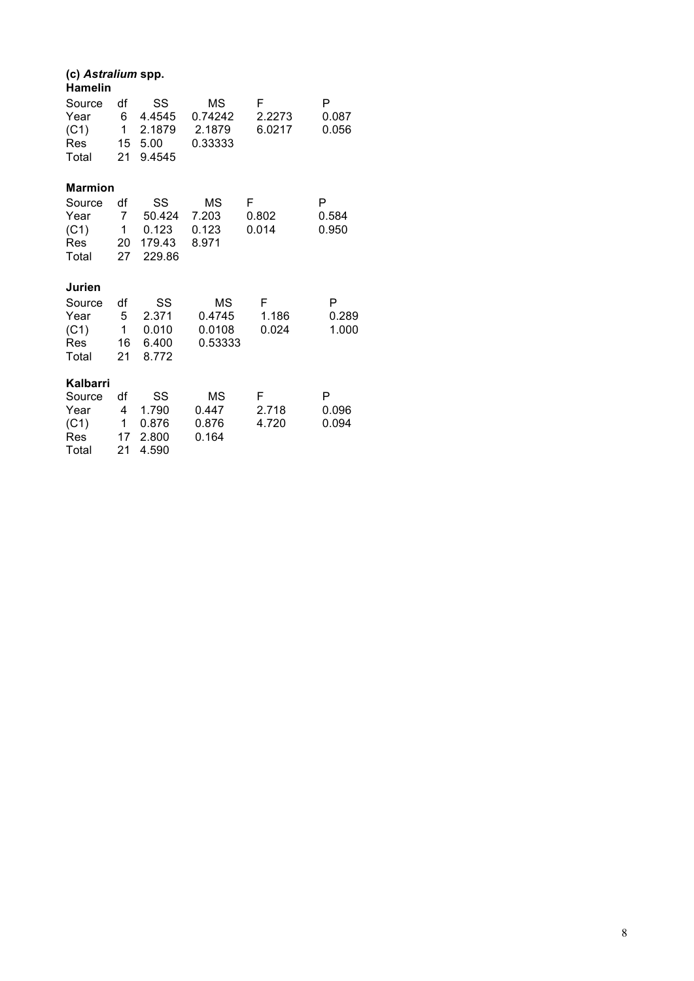| (c) Astralium spp.<br><b>Hamelin</b> |           |         |         |        |       |
|--------------------------------------|-----------|---------|---------|--------|-------|
| Source                               | df        | SS      | MS      | F      | P     |
| Year                                 | 6         | 4.4545  | 0.74242 | 2.2273 | 0.087 |
| (C1)                                 | $1 \quad$ | 2.1879  | 2.1879  | 6.0217 | 0.056 |
| Res                                  |           | 15 5.00 | 0.33333 |        |       |
| Total                                | 21        | 9.4545  |         |        |       |
| <b>Marmion</b>                       |           |         |         |        |       |
| Source                               | df        | SS      | MS      | F      | P     |
| Year                                 | 7         | 50.424  | 7.203   | 0.802  | 0.584 |
| (C1)                                 | 1         | 0.123   | 0.123   | 0.014  | 0.950 |
| <b>Res</b>                           | 20        | 179.43  | 8.971   |        |       |
| Total                                | 27        | 229.86  |         |        |       |
| Jurien                               |           |         |         |        |       |
| Source                               | df        | SS      | МS      | F      | P     |
| Year                                 | 5         | 2.371   | 0.4745  | 1.186  | 0.289 |
| (C1)                                 | 1         | 0.010   | 0.0108  | 0.024  | 1.000 |
| Res                                  | 16        | 6.400   | 0.53333 |        |       |
| Total                                | 21        | 8.772   |         |        |       |
| <b>Kalbarri</b>                      |           |         |         |        |       |
| Source                               | df        | SS      | МS      | F      | P     |
| Year                                 | 4         | 1.790   | 0.447   | 2.718  | 0.096 |
| (C1)                                 | 1         | 0.876   | 0.876   | 4.720  | 0.094 |
| <b>Res</b>                           | 17        | 2.800   | 0.164   |        |       |
| Total                                | 21        | 4.590   |         |        |       |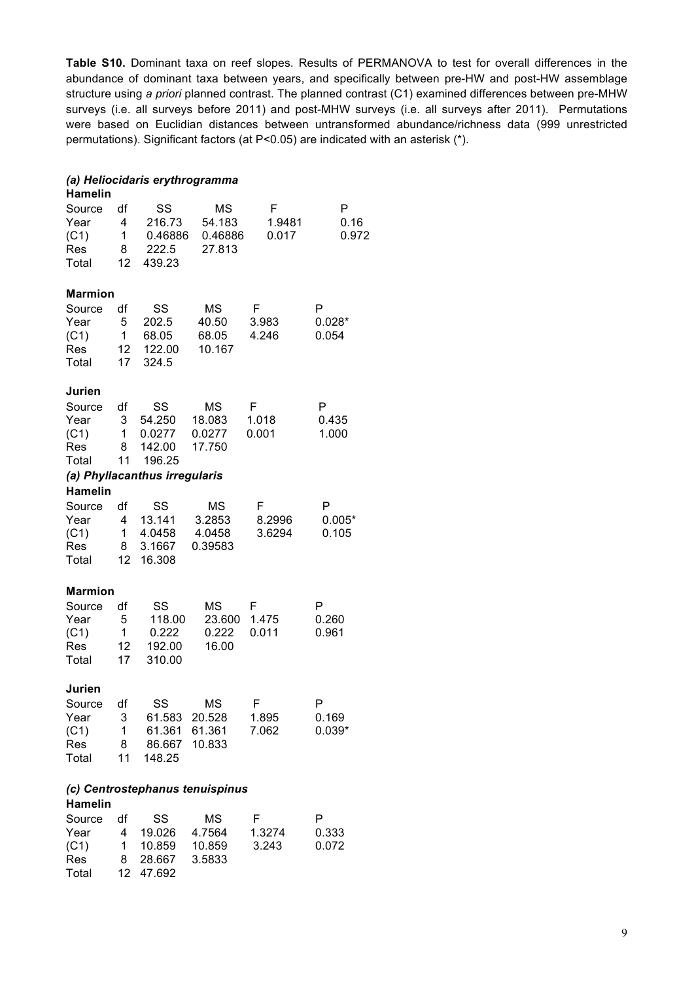**Table S10.** Dominant taxa on reef slopes. Results of PERMANOVA to test for overall differences in the abundance of dominant taxa between years, and specifically between pre-HW and post-HW assemblage structure using *a priori* planned contrast. The planned contrast (C1) examined differences between pre-MHW surveys (i.e. all surveys before 2011) and post-MHW surveys (i.e. all surveys after 2011). Permutations were based on Euclidian distances between untransformed abundance/richness data (999 unrestricted permutations). Significant factors (at P<0.05) are indicated with an asterisk (\*).

| (a) Heliocidaris erythrogramma<br><b>Hamelin</b>         |                                     |                                            |                                         |                       |                        |  |  |  |
|----------------------------------------------------------|-------------------------------------|--------------------------------------------|-----------------------------------------|-----------------------|------------------------|--|--|--|
| Source<br>Year<br>(C1)<br>Res<br>Total                   | df<br>4<br>1<br>8<br>12             | SS<br>216.73<br>0.46886<br>222.5<br>439.23 | MS<br>54.183<br>0.46886<br>27.813       | F<br>1.9481<br>0.017  | P<br>0.16<br>0.972     |  |  |  |
| <b>Marmion</b><br>Source<br>Year<br>(C1)<br>Res<br>Total | df<br>5<br>$\mathbf{1}$<br>12<br>17 | SS<br>202.5<br>68.05<br>122.00<br>324.5    | MS<br>40.50<br>68.05<br>10.167          | F<br>3.983<br>4.246   | P<br>$0.028*$<br>0.054 |  |  |  |
| Jurien<br>Source<br>Year<br>(C1)<br><b>Res</b><br>Total  | df<br>3<br>1<br>8<br>11             | SS<br>54.250<br>0.0277<br>142.00<br>196.25 | MS<br>18.083<br>0.0277<br>17.750        | F<br>1.018<br>0.001   | P<br>0.435<br>1.000    |  |  |  |
| <b>Hamelin</b>                                           |                                     | (a) Phyllacanthus irregularis              |                                         |                       |                        |  |  |  |
| Source<br>Year<br>(C1)<br>Res<br>Total                   | df<br>4<br>$\mathbf{1}$<br>8<br>12  | SS<br>13.141<br>4.0458<br>3.1667<br>16.308 | ΜS<br>3.2853<br>4.0458<br>0.39583       | F<br>8.2996<br>3.6294 | P<br>$0.005*$<br>0.105 |  |  |  |
| <b>Marmion</b>                                           |                                     |                                            |                                         |                       |                        |  |  |  |
| Source<br>Year<br>(C1)<br>Res<br>Total                   | df<br>5<br>1<br>12<br>17            | SS<br>118.00<br>0.222<br>192.00<br>310.00  | ΜS<br>23.600<br>0.222<br>16.00          | F<br>1.475<br>0.011   | P<br>0.260<br>0.961    |  |  |  |
| Jurien                                                   |                                     |                                            |                                         |                       |                        |  |  |  |
| Source<br>Year<br>(C1)<br>Res<br>Total                   | df<br>3<br>1<br>8<br>11             | SS<br>61.583<br>61.361<br>86.667<br>148.25 | MS<br>20.528<br>61.361<br>10.833        | F<br>1.895<br>7.062   | P<br>0.169<br>$0.039*$ |  |  |  |
| (c) Centrostephanus tenuispinus                          |                                     |                                            |                                         |                       |                        |  |  |  |
| <b>Hamelin</b>                                           |                                     |                                            |                                         |                       |                        |  |  |  |
| Source<br>Year<br>(C1)<br>Res<br>Total                   | df<br>4<br>1<br>8<br>12             | SS<br>19.026<br>10.859<br>28.667<br>47.692 | <b>MS</b><br>4.7564<br>10.859<br>3.5833 | F<br>1.3274<br>3.243  | Ρ<br>0.333<br>0.072    |  |  |  |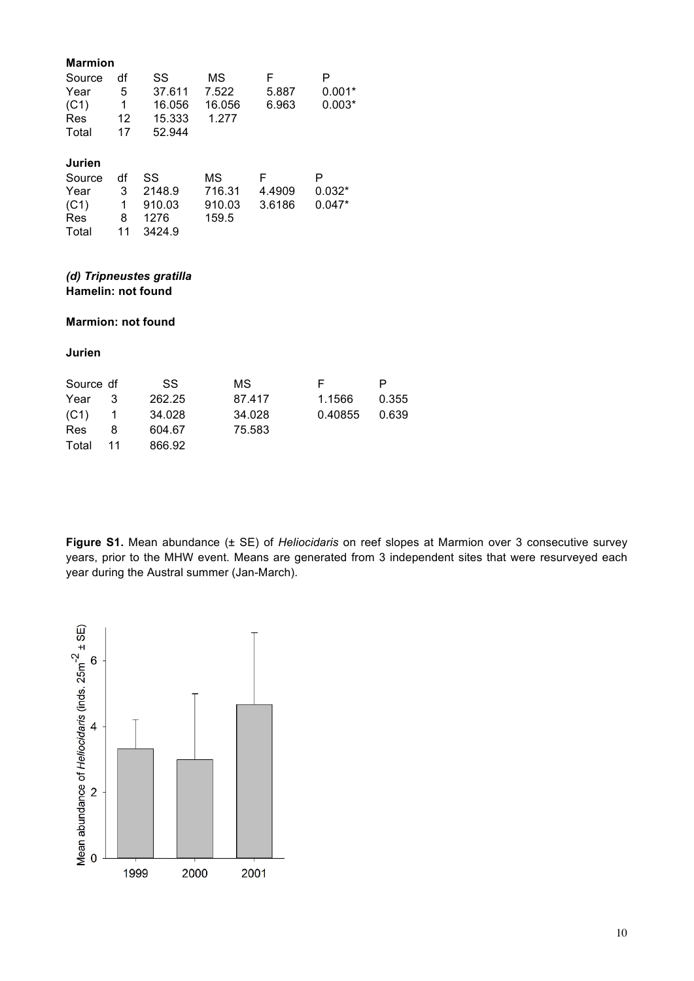| <b>Marmion</b> |    |        |        |        |          |  |
|----------------|----|--------|--------|--------|----------|--|
| Source         | df | SS     | МS     | F      | P        |  |
| Year           | 5  | 37.611 | 7.522  | 5.887  | $0.001*$ |  |
| (C1)           | 1  | 16.056 | 16.056 | 6.963  | $0.003*$ |  |
| Res            | 12 | 15.333 | 1.277  |        |          |  |
| Total          | 17 | 52.944 |        |        |          |  |
|                |    |        |        |        |          |  |
| Jurien         |    |        |        |        |          |  |
| Source         | df | SS     | МS     | F      | Р        |  |
| Year           | 3  | 2148.9 | 716.31 | 4.4909 | $0.032*$ |  |
| (C1)           | 1  | 910.03 | 910.03 | 3.6186 | $0.047*$ |  |
| Res            | 8  | 1276   | 159.5  |        |          |  |
| Total          | 11 | 3424.9 |        |        |          |  |
|                |    |        |        |        |          |  |

## *(d) Tripneustes gratilla* **Hamelin: not found**

#### **Marmion: not found**

**Jurien**

| Source df |                | SS     | MS.    | ⊢       |       |
|-----------|----------------|--------|--------|---------|-------|
| Year      | 3              | 262.25 | 87.417 | 1.1566  | 0.355 |
| (C1)      | $\overline{1}$ | 34.028 | 34.028 | 0.40855 | 0.639 |
| Res       | 8              | 604.67 | 75.583 |         |       |
| Total     | 11             | 866.92 |        |         |       |

**Figure S1.** Mean abundance (± SE) of *Heliocidaris* on reef slopes at Marmion over 3 consecutive survey years, prior to the MHW event. Means are generated from 3 independent sites that were resurveyed each year during the Austral summer (Jan-March).